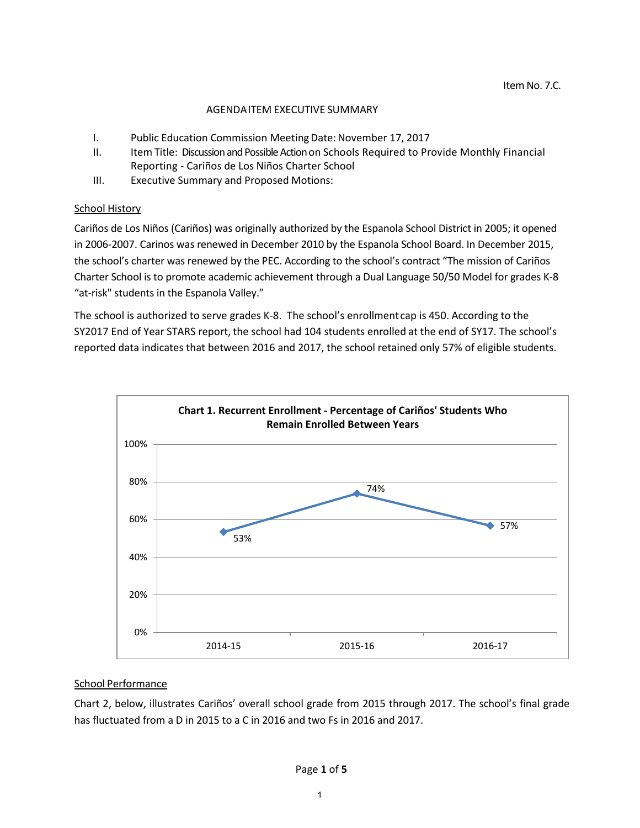## AGENDAITEM EXECUTIVE SUMMARY

- I. Public Education Commission Meeting Date: November 17, 2017
- II. Item Title: Discussion and Possible Action on Schools Required to Provide Monthly Financial Reporting - Cariños de Los Niños Charter School
- III. Executive Summary and Proposed Motions:

## School History

Cariños de Los Niños (Cariños) was originally authorized by the Espanola School District in 2005; it opened in 2006-2007. Carinos was renewed in December 2010 by the Espanola School Board. In December 2015, the school's charter was renewed by the PEC. According to the school's contract "The mission of Cariños Charter School is to promote academic achievement through a Dual Language 50/50 Model for grades K-8 "at-risk" students in the Espanola Valley."

The school is authorized to serve grades K-8. The school's enrollmentcap is 450. According to the SY2017 End of Year STARS report, the school had 104 students enrolled at the end of SY17. The school's reported data indicates that between 2016 and 2017, the school retained only 57% of eligible students.



# School Performance

Chart 2, below, illustrates Cariños' overall school grade from 2015 through 2017. The school's final grade has fluctuated from a D in 2015 to a C in 2016 and two Fs in 2016 and 2017.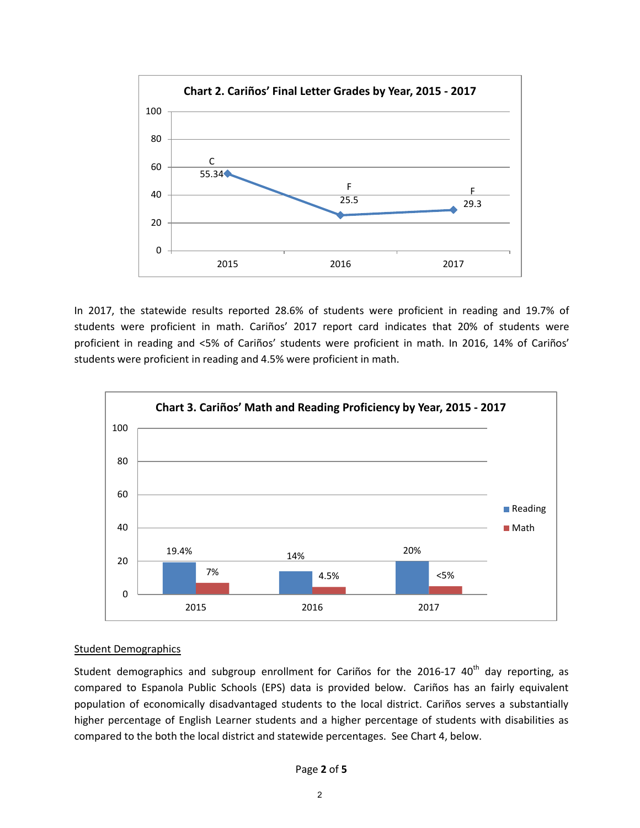

In 2017, the statewide results reported 28.6% of students were proficient in reading and 19.7% of students were proficient in math. Cariños' 2017 report card indicates that 20% of students were proficient in reading and <5% of Cariños' students were proficient in math. In 2016, 14% of Cariños' students were proficient in reading and 4.5% were proficient in math.



# Student Demographics

Student demographics and subgroup enrollment for Cariños for the 2016-17 40<sup>th</sup> day reporting, as compared to Espanola Public Schools (EPS) data is provided below. Cariños has an fairly equivalent population of economically disadvantaged students to the local district. Cariños serves a substantially higher percentage of English Learner students and a higher percentage of students with disabilities as compared to the both the local district and statewide percentages. See Chart 4, below.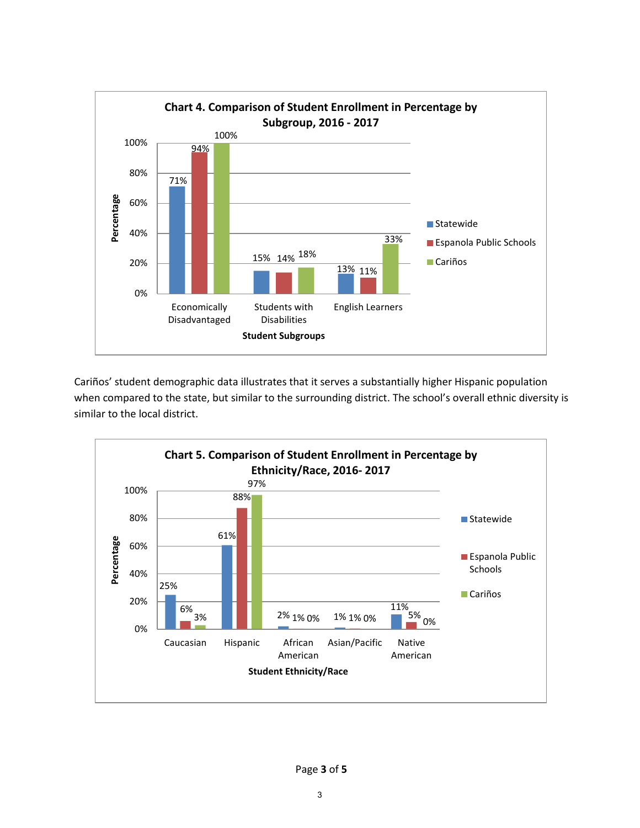

Cariños' student demographic data illustrates that it serves a substantially higher Hispanic population when compared to the state, but similar to the surrounding district. The school's overall ethnic diversity is similar to the local district.

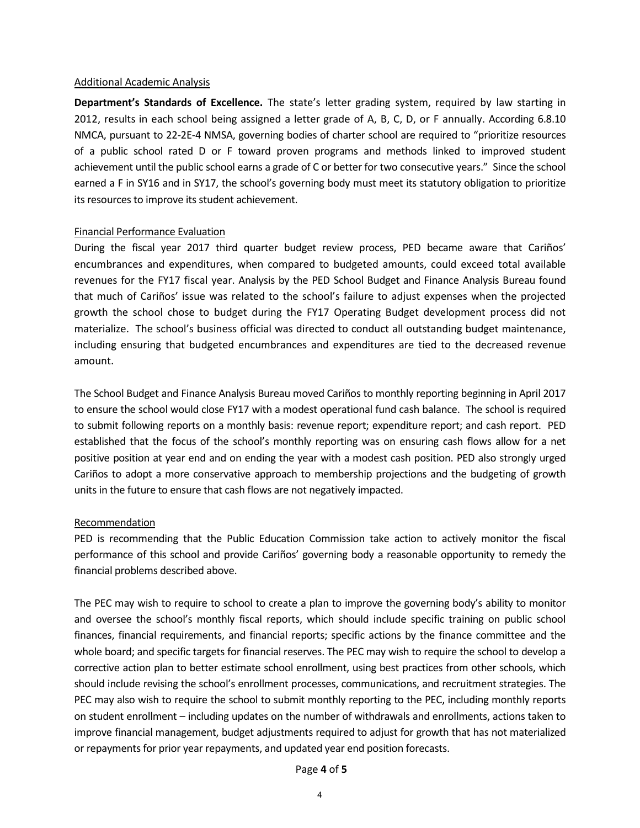#### Additional Academic Analysis

**Department's Standards of Excellence.** The state's letter grading system, required by law starting in 2012, results in each school being assigned a letter grade of A, B, C, D, or F annually. According 6.8.10 NMCA, pursuant to 22-2E-4 NMSA, governing bodies of charter school are required to "prioritize resources of a public school rated D or F toward proven programs and methods linked to improved student achievement until the public school earns a grade of C or better for two consecutive years." Since the school earned a F in SY16 and in SY17, the school's governing body must meet its statutory obligation to prioritize its resources to improve its student achievement.

## Financial Performance Evaluation

During the fiscal year 2017 third quarter budget review process, PED became aware that Cariños' encumbrances and expenditures, when compared to budgeted amounts, could exceed total available revenues for the FY17 fiscal year. Analysis by the PED School Budget and Finance Analysis Bureau found that much of Cariños' issue was related to the school's failure to adjust expenses when the projected growth the school chose to budget during the FY17 Operating Budget development process did not materialize. The school's business official was directed to conduct all outstanding budget maintenance, including ensuring that budgeted encumbrances and expenditures are tied to the decreased revenue amount.

The School Budget and Finance Analysis Bureau moved Cariños to monthly reporting beginning in April 2017 to ensure the school would close FY17 with a modest operational fund cash balance. The school is required to submit following reports on a monthly basis: revenue report; expenditure report; and cash report. PED established that the focus of the school's monthly reporting was on ensuring cash flows allow for a net positive position at year end and on ending the year with a modest cash position. PED also strongly urged Cariños to adopt a more conservative approach to membership projections and the budgeting of growth units in the future to ensure that cash flows are not negatively impacted.

## Recommendation

PED is recommending that the Public Education Commission take action to actively monitor the fiscal performance of this school and provide Cariños' governing body a reasonable opportunity to remedy the financial problems described above.

The PEC may wish to require to school to create a plan to improve the governing body's ability to monitor and oversee the school's monthly fiscal reports, which should include specific training on public school finances, financial requirements, and financial reports; specific actions by the finance committee and the whole board; and specific targets for financial reserves. The PEC may wish to require the school to develop a corrective action plan to better estimate school enrollment, using best practices from other schools, which should include revising the school's enrollment processes, communications, and recruitment strategies. The PEC may also wish to require the school to submit monthly reporting to the PEC, including monthly reports on student enrollment – including updates on the number of withdrawals and enrollments, actions taken to improve financial management, budget adjustments required to adjust for growth that has not materialized or repayments for prior year repayments, and updated year end position forecasts.

## Page **4** of **5**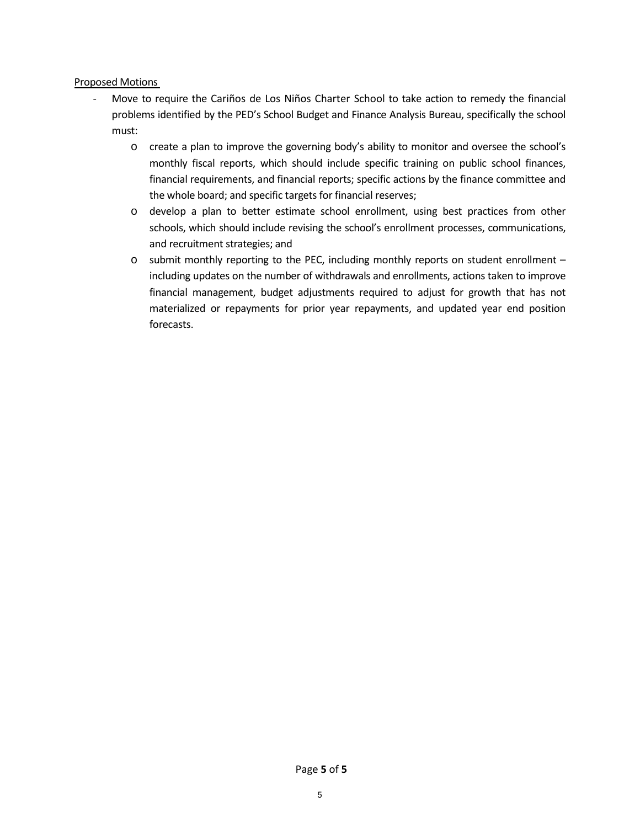# Proposed Motions

- Move to require the Cariños de Los Niños Charter School to take action to remedy the financial problems identified by the PED's School Budget and Finance Analysis Bureau, specifically the school must:
	- o create a plan to improve the governing body's ability to monitor and oversee the school's monthly fiscal reports, which should include specific training on public school finances, financial requirements, and financial reports; specific actions by the finance committee and the whole board; and specific targets for financial reserves;
	- o develop a plan to better estimate school enrollment, using best practices from other schools, which should include revising the school's enrollment processes, communications, and recruitment strategies; and
	- o submit monthly reporting to the PEC, including monthly reports on student enrollment including updates on the number of withdrawals and enrollments, actions taken to improve financial management, budget adjustments required to adjust for growth that has not materialized or repayments for prior year repayments, and updated year end position forecasts.